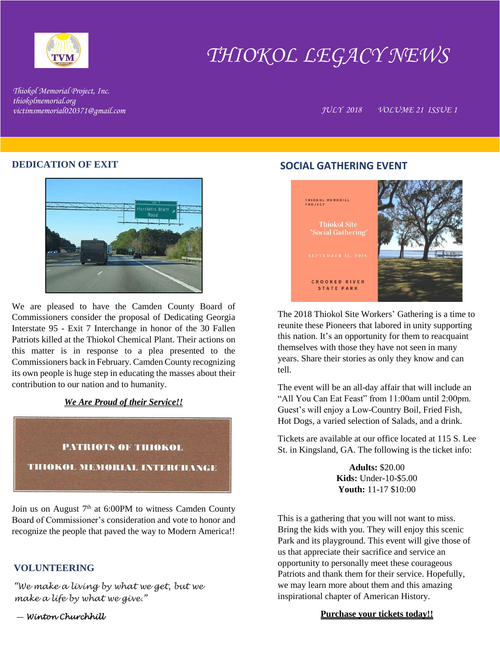

# *THIOKOL LEGACY NEWS*

*Thiokol Memorial Project, Inc. thiokolmemorial.org*

*victimsmemorial020371@gmail.com JULY 2018 VOLUME 21 ISSUE 1*

### **DEDICATION OF EXIT**



We are pleased to have the Camden County Board of Commissioners consider the proposal of Dedicating Georgia Interstate 95 - Exit 7 Interchange in honor of the 30 Fallen Patriots killed at the Thiokol Chemical Plant. Their actions on this matter is in response to a plea presented to the Commissioners back in February. Camden County recognizing its own people is huge step in educating the masses about their contribution to our nation and to humanity.

#### *We Are Proud of their Service!!*



Join us on August  $7<sup>th</sup>$  at 6:00PM to witness Camden County Board of Commissioner's consideration and vote to honor and recognize the people that paved the way to Modern America!!

## **VOLUNTEERING**

*"We make a living by what we get, but we make a life by what we give."*

― *Winton Churchhill* 

## **SOCIAL GATHERING EVENT**



The 2018 Thiokol Site Workers' Gathering is a time to reunite these Pioneers that labored in unity supporting this nation. It's an opportunity for them to reacquaint themselves with those they have not seen in many years. Share their stories as only they know and can tell.

The event will be an all-day affair that will include an "All You Can Eat Feast" from 11:00am until 2:00pm. Guest's will enjoy a Low-Country Boil, Fried Fish, Hot Dogs, a varied selection of Salads, and a drink.

Tickets are available at our office located at 115 S. Lee St. in Kingsland, GA. The following is the ticket info:

> **Adults:** \$20.00 **Kids:** Under-10-\$5.00 **Youth:** 11-17 \$10:00

This is a gathering that you will not want to miss. Bring the kids with you. They will enjoy this scenic Park and its playground. This event will give those of us that appreciate their sacrifice and service an opportunity to personally meet these courageous Patriots and thank them for their service. Hopefully, we may learn more about them and this amazing inspirational chapter of American History.

#### **Purchase your tickets today!!**